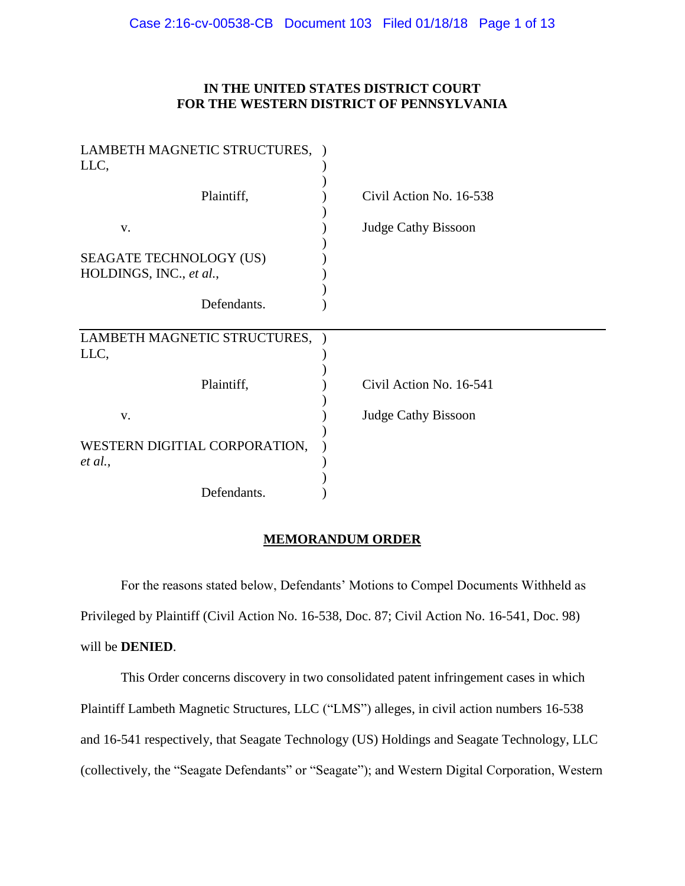## **IN THE UNITED STATES DISTRICT COURT FOR THE WESTERN DISTRICT OF PENNSYLVANIA**

| LAMBETH MAGNETIC STRUCTURES, )<br>LLC,             |                            |
|----------------------------------------------------|----------------------------|
| Plaintiff,                                         | Civil Action No. 16-538    |
| V.                                                 | <b>Judge Cathy Bissoon</b> |
| SEAGATE TECHNOLOGY (US)<br>HOLDINGS, INC., et al., |                            |
| Defendants.                                        |                            |
| LAMBETH MAGNETIC STRUCTURES,<br>LLC,               |                            |
| Plaintiff,                                         | Civil Action No. 16-541    |
| v.                                                 | <b>Judge Cathy Bissoon</b> |
| WESTERN DIGITIAL CORPORATION,<br>et al.,           |                            |
| Defendants.                                        |                            |

### **MEMORANDUM ORDER**

For the reasons stated below, Defendants' Motions to Compel Documents Withheld as Privileged by Plaintiff (Civil Action No. 16-538, Doc. 87; Civil Action No. 16-541, Doc. 98) will be **DENIED**.

This Order concerns discovery in two consolidated patent infringement cases in which Plaintiff Lambeth Magnetic Structures, LLC ("LMS") alleges, in civil action numbers 16-538 and 16-541 respectively, that Seagate Technology (US) Holdings and Seagate Technology, LLC (collectively, the "Seagate Defendants" or "Seagate"); and Western Digital Corporation, Western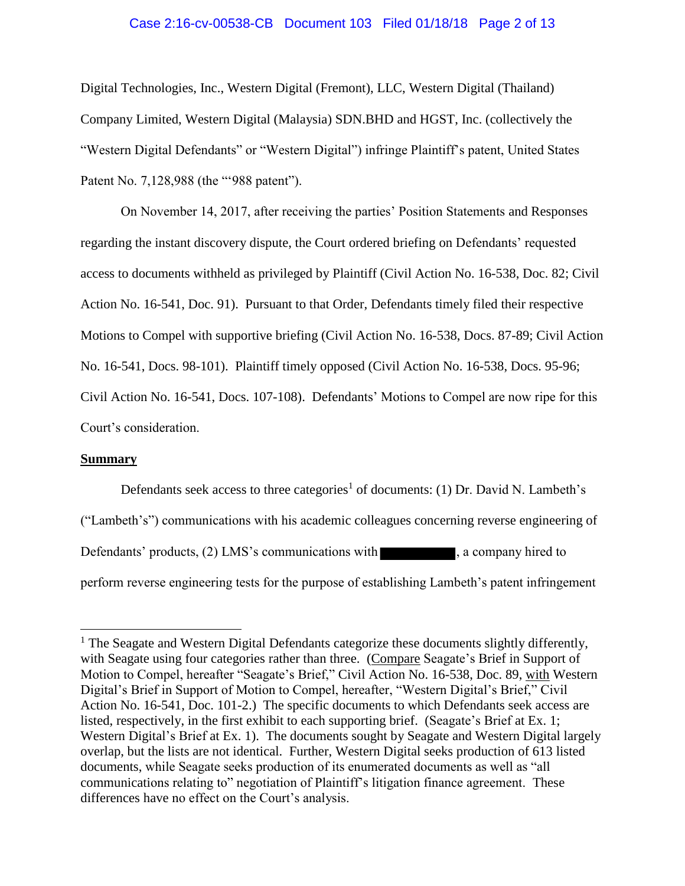# Case 2:16-cv-00538-CB Document 103 Filed 01/18/18 Page 2 of 13

Digital Technologies, Inc., Western Digital (Fremont), LLC, Western Digital (Thailand) Company Limited, Western Digital (Malaysia) SDN.BHD and HGST, Inc. (collectively the "Western Digital Defendants" or "Western Digital") infringe Plaintiff's patent, United States Patent No. 7,128,988 (the "'988 patent").

On November 14, 2017, after receiving the parties' Position Statements and Responses regarding the instant discovery dispute, the Court ordered briefing on Defendants' requested access to documents withheld as privileged by Plaintiff (Civil Action No. 16-538, Doc. 82; Civil Action No. 16-541, Doc. 91). Pursuant to that Order, Defendants timely filed their respective Motions to Compel with supportive briefing (Civil Action No. 16-538, Docs. 87-89; Civil Action No. 16-541, Docs. 98-101). Plaintiff timely opposed (Civil Action No. 16-538, Docs. 95-96; Civil Action No. 16-541, Docs. 107-108). Defendants' Motions to Compel are now ripe for this Court's consideration.

### **Summary**

Defendants seek access to three categories<sup>1</sup> of documents: (1) Dr. David N. Lambeth's ("Lambeth's") communications with his academic colleagues concerning reverse engineering of Defendants' products, (2) LMS's communications with , a company hired to perform reverse engineering tests for the purpose of establishing Lambeth's patent infringement

<sup>&</sup>lt;sup>1</sup> The Seagate and Western Digital Defendants categorize these documents slightly differently, with Seagate using four categories rather than three. (Compare Seagate's Brief in Support of Motion to Compel, hereafter "Seagate's Brief," Civil Action No. 16-538, Doc. 89, with Western Digital's Brief in Support of Motion to Compel, hereafter, "Western Digital's Brief," Civil Action No. 16-541, Doc. 101-2.) The specific documents to which Defendants seek access are listed, respectively, in the first exhibit to each supporting brief. (Seagate's Brief at Ex. 1; Western Digital's Brief at Ex. 1). The documents sought by Seagate and Western Digital largely overlap, but the lists are not identical. Further, Western Digital seeks production of 613 listed documents, while Seagate seeks production of its enumerated documents as well as "all communications relating to" negotiation of Plaintiff's litigation finance agreement. These differences have no effect on the Court's analysis.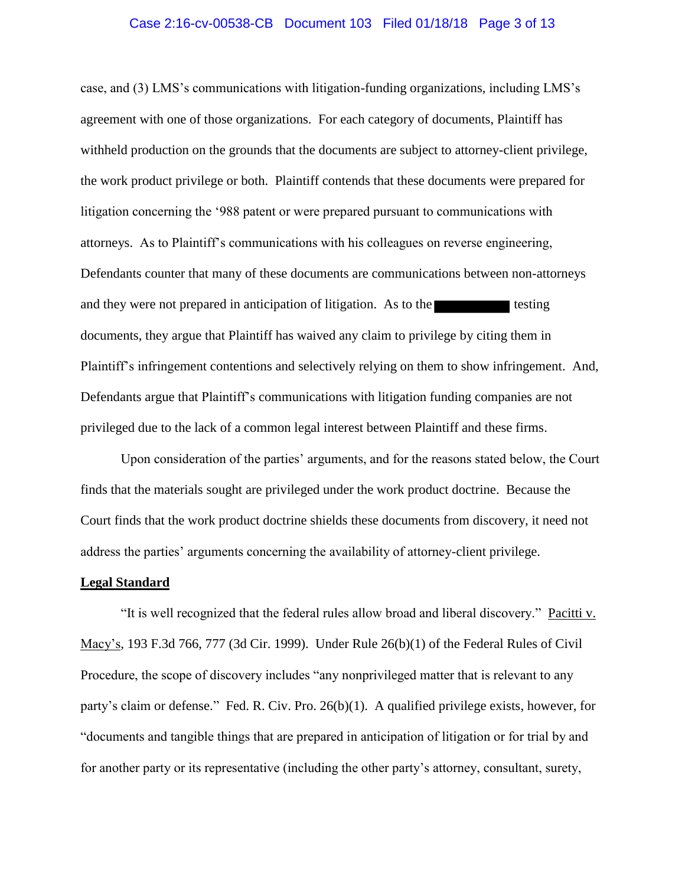### Case 2:16-cv-00538-CB Document 103 Filed 01/18/18 Page 3 of 13

case, and (3) LMS's communications with litigation-funding organizations, including LMS's agreement with one of those organizations. For each category of documents, Plaintiff has withheld production on the grounds that the documents are subject to attorney-client privilege, the work product privilege or both. Plaintiff contends that these documents were prepared for litigation concerning the '988 patent or were prepared pursuant to communications with attorneys. As to Plaintiff's communications with his colleagues on reverse engineering, Defendants counter that many of these documents are communications between non-attorneys and they were not prepared in anticipation of litigation. As to the testing documents, they argue that Plaintiff has waived any claim to privilege by citing them in Plaintiff's infringement contentions and selectively relying on them to show infringement. And, Defendants argue that Plaintiff's communications with litigation funding companies are not privileged due to the lack of a common legal interest between Plaintiff and these firms.

Upon consideration of the parties' arguments, and for the reasons stated below, the Court finds that the materials sought are privileged under the work product doctrine. Because the Court finds that the work product doctrine shields these documents from discovery, it need not address the parties' arguments concerning the availability of attorney-client privilege.

#### **Legal Standard**

"It is well recognized that the federal rules allow broad and liberal discovery." Pacitti v. Macy's, 193 F.3d 766, 777 (3d Cir. 1999). Under Rule 26(b)(1) of the Federal Rules of Civil Procedure, the scope of discovery includes "any nonprivileged matter that is relevant to any party's claim or defense." Fed. R. Civ. Pro. 26(b)(1). A qualified privilege exists, however, for "documents and tangible things that are prepared in anticipation of litigation or for trial by and for another party or its representative (including the other party's attorney, consultant, surety,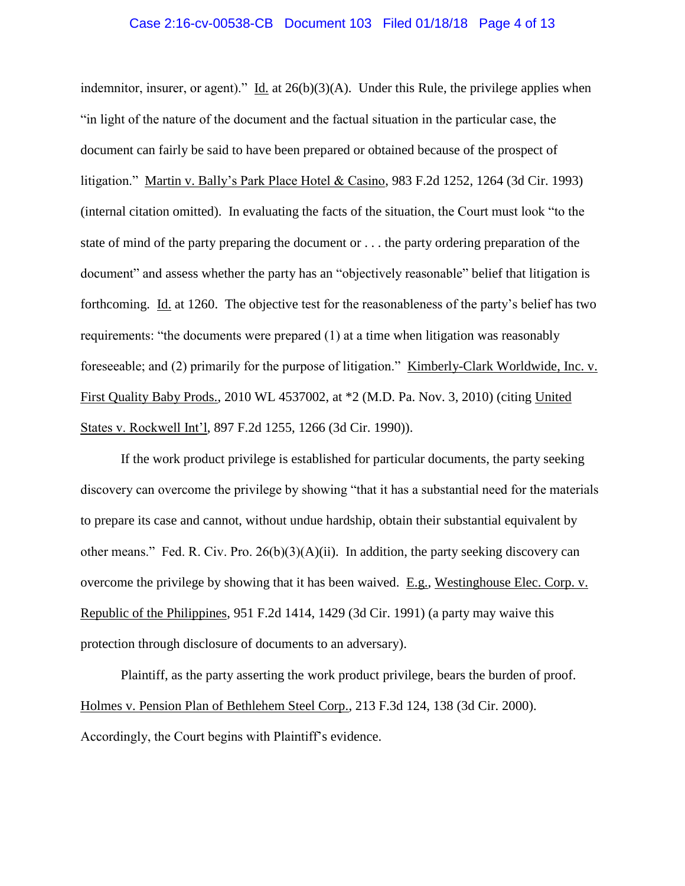### Case 2:16-cv-00538-CB Document 103 Filed 01/18/18 Page 4 of 13

indemnitor, insurer, or agent)." Id. at  $26(b)(3)(A)$ . Under this Rule, the privilege applies when "in light of the nature of the document and the factual situation in the particular case, the document can fairly be said to have been prepared or obtained because of the prospect of litigation." Martin v. Bally's Park Place Hotel & Casino, 983 F.2d 1252, 1264 (3d Cir. 1993) (internal citation omitted). In evaluating the facts of the situation, the Court must look "to the state of mind of the party preparing the document or . . . the party ordering preparation of the document" and assess whether the party has an "objectively reasonable" belief that litigation is forthcoming. Id. at 1260. The objective test for the reasonableness of the party's belief has two requirements: "the documents were prepared (1) at a time when litigation was reasonably foreseeable; and (2) primarily for the purpose of litigation." Kimberly-Clark Worldwide, Inc. v. First Quality Baby Prods., 2010 WL 4537002, at \*2 (M.D. Pa. Nov. 3, 2010) (citing United States v. Rockwell Int'l, 897 F.2d 1255, 1266 (3d Cir. 1990)).

If the work product privilege is established for particular documents, the party seeking discovery can overcome the privilege by showing "that it has a substantial need for the materials to prepare its case and cannot, without undue hardship, obtain their substantial equivalent by other means." Fed. R. Civ. Pro.  $26(b)(3)(A)(ii)$ . In addition, the party seeking discovery can overcome the privilege by showing that it has been waived. E.g., Westinghouse Elec. Corp. v. Republic of the Philippines, 951 F.2d 1414, 1429 (3d Cir. 1991) (a party may waive this protection through disclosure of documents to an adversary).

Plaintiff, as the party asserting the work product privilege, bears the burden of proof. Holmes v. Pension Plan of Bethlehem Steel Corp., 213 F.3d 124, 138 (3d Cir. 2000). Accordingly, the Court begins with Plaintiff's evidence.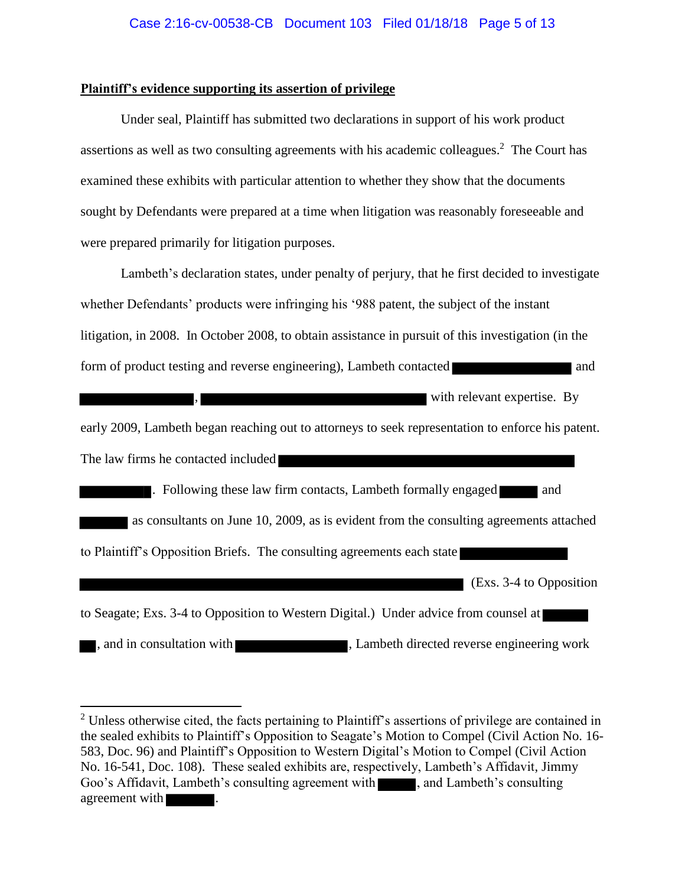### **Plaintiff's evidence supporting its assertion of privilege**

Under seal, Plaintiff has submitted two declarations in support of his work product assertions as well as two consulting agreements with his academic colleagues.<sup>2</sup> The Court has examined these exhibits with particular attention to whether they show that the documents sought by Defendants were prepared at a time when litigation was reasonably foreseeable and were prepared primarily for litigation purposes.

Lambeth's declaration states, under penalty of perjury, that he first decided to investigate whether Defendants' products were infringing his '988 patent, the subject of the instant litigation, in 2008. In October 2008, to obtain assistance in pursuit of this investigation (in the form of product testing and reverse engineering), Lambeth contacted and and

with relevant expertise. By

early 2009, Lambeth began reaching out to attorneys to seek representation to enforce his patent. The law firms he contacted included

 $\blacksquare$ . Following these law firm contacts, Lambeth formally engaged and as consultants on June 10, 2009, as is evident from the consulting agreements attached to Plaintiff's Opposition Briefs. The consulting agreements each state

 $\overline{E}$  (Exs. 3-4 to Opposition

to Seagate; Exs. 3-4 to Opposition to Western Digital.) Under advice from counsel at

, and in consultation with , Lambeth directed reverse engineering work

<sup>&</sup>lt;sup>2</sup> Unless otherwise cited, the facts pertaining to Plaintiff's assertions of privilege are contained in the sealed exhibits to Plaintiff's Opposition to Seagate's Motion to Compel (Civil Action No. 16- 583, Doc. 96) and Plaintiff's Opposition to Western Digital's Motion to Compel (Civil Action No. 16-541, Doc. 108). These sealed exhibits are, respectively, Lambeth's Affidavit, Jimmy Goo's Affidavit, Lambeth's consulting agreement with , and Lambeth's consulting agreement with  $\blacksquare$ .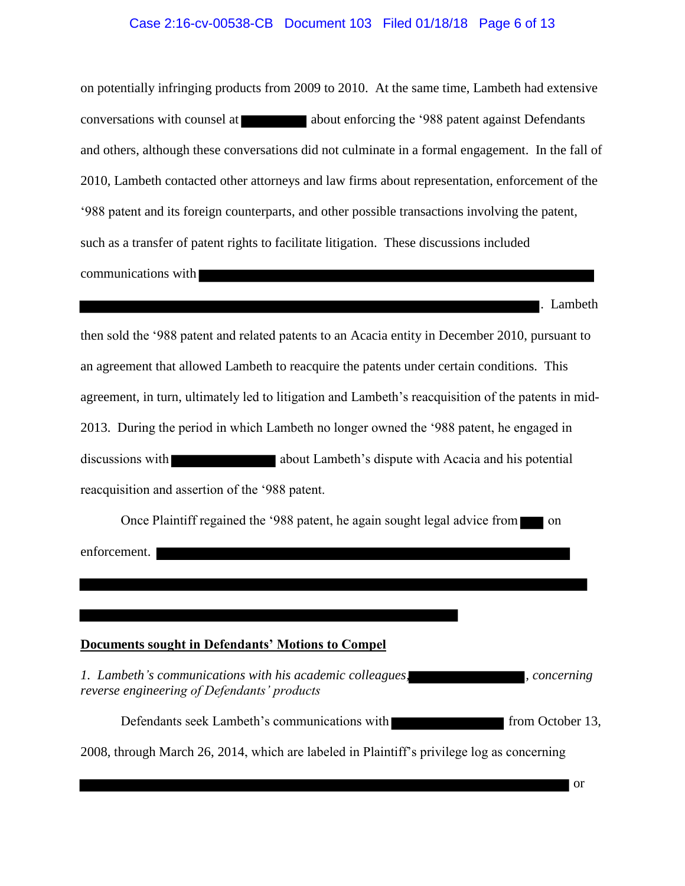# Case 2:16-cv-00538-CB Document 103 Filed 01/18/18 Page 6 of 13

on potentially infringing products from 2009 to 2010. At the same time, Lambeth had extensive conversations with counsel at about enforcing the '988 patent against Defendants and others, although these conversations did not culminate in a formal engagement. In the fall of 2010, Lambeth contacted other attorneys and law firms about representation, enforcement of the '988 patent and its foreign counterparts, and other possible transactions involving the patent, such as a transfer of patent rights to facilitate litigation. These discussions included communications with

. Lambeth then sold the '988 patent and related patents to an Acacia entity in December 2010, pursuant to an agreement that allowed Lambeth to reacquire the patents under certain conditions. This agreement, in turn, ultimately led to litigation and Lambeth's reacquisition of the patents in mid-2013. During the period in which Lambeth no longer owned the '988 patent, he engaged in discussions with about Lambeth's dispute with Acacia and his potential reacquisition and assertion of the '988 patent.

Once Plaintiff regained the '988 patent, he again sought legal advice from on enforcement.

#### **Documents sought in Defendants' Motions to Compel**

*1. Lambeth's communications with his academic colleagues, , concerning reverse engineering of Defendants' products*

Defendants seek Lambeth's communications with from October 13,

2008, through March 26, 2014, which are labeled in Plaintiff's privilege log as concerning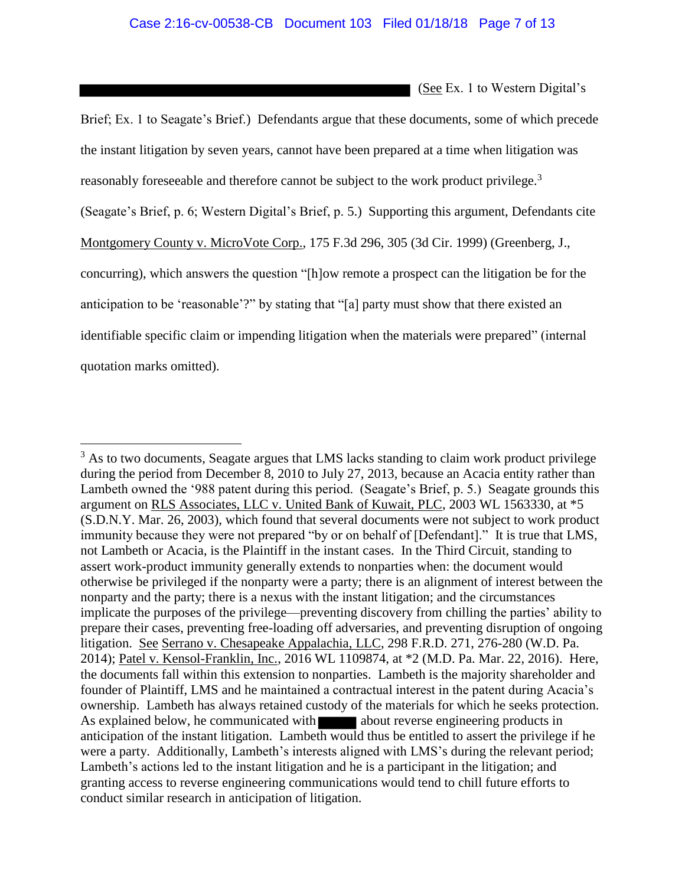**See Ex. 1 to Western Digital's** Brief; Ex. 1 to Seagate's Brief.) Defendants argue that these documents, some of which precede the instant litigation by seven years, cannot have been prepared at a time when litigation was reasonably foreseeable and therefore cannot be subject to the work product privilege.<sup>3</sup> (Seagate's Brief, p. 6; Western Digital's Brief, p. 5.) Supporting this argument, Defendants cite Montgomery County v. MicroVote Corp., 175 F.3d 296, 305 (3d Cir. 1999) (Greenberg, J., concurring), which answers the question "[h]ow remote a prospect can the litigation be for the anticipation to be 'reasonable'?" by stating that "[a] party must show that there existed an identifiable specific claim or impending litigation when the materials were prepared" (internal quotation marks omitted).

 $3$  As to two documents, Seagate argues that LMS lacks standing to claim work product privilege during the period from December 8, 2010 to July 27, 2013, because an Acacia entity rather than Lambeth owned the '988 patent during this period. (Seagate's Brief, p. 5.) Seagate grounds this argument on RLS Associates, LLC v. United Bank of Kuwait, PLC, 2003 WL 1563330, at \*5 (S.D.N.Y. Mar. 26, 2003), which found that several documents were not subject to work product immunity because they were not prepared "by or on behalf of [Defendant]." It is true that LMS, not Lambeth or Acacia, is the Plaintiff in the instant cases. In the Third Circuit, standing to assert work-product immunity generally extends to nonparties when: the document would otherwise be privileged if the nonparty were a party; there is an alignment of interest between the nonparty and the party; there is a nexus with the instant litigation; and the circumstances implicate the purposes of the privilege—preventing discovery from chilling the parties' ability to prepare their cases, preventing free-loading off adversaries, and preventing disruption of ongoing litigation. See Serrano v. Chesapeake Appalachia, LLC, 298 F.R.D. 271, 276-280 (W.D. Pa. 2014); Patel v. Kensol-Franklin, Inc., 2016 WL 1109874, at \*2 (M.D. Pa. Mar. 22, 2016). Here, the documents fall within this extension to nonparties. Lambeth is the majority shareholder and founder of Plaintiff, LMS and he maintained a contractual interest in the patent during Acacia's ownership. Lambeth has always retained custody of the materials for which he seeks protection. As explained below, he communicated with about reverse engineering products in anticipation of the instant litigation. Lambeth would thus be entitled to assert the privilege if he were a party. Additionally, Lambeth's interests aligned with LMS's during the relevant period; Lambeth's actions led to the instant litigation and he is a participant in the litigation; and granting access to reverse engineering communications would tend to chill future efforts to conduct similar research in anticipation of litigation.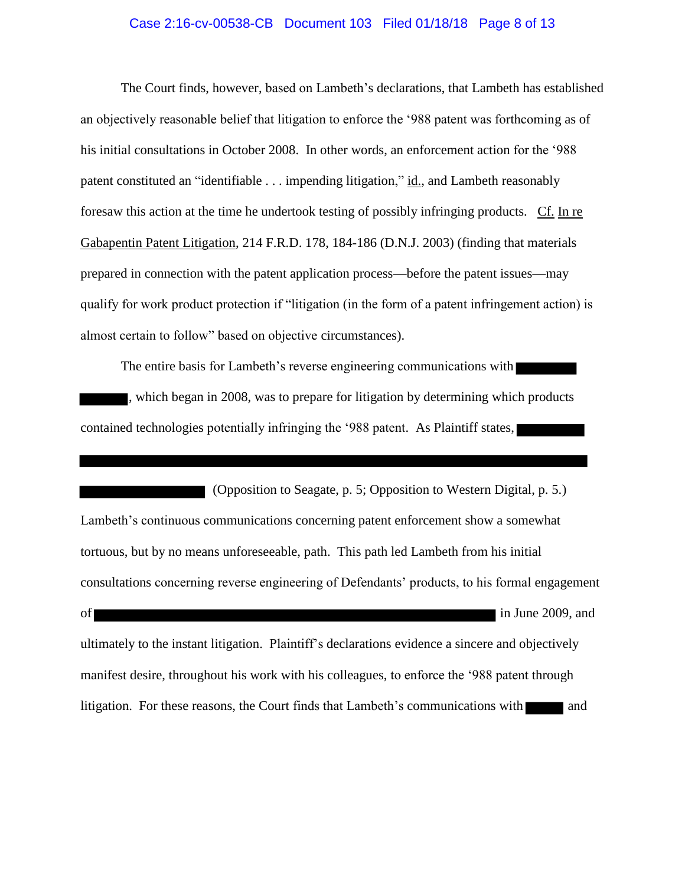# Case 2:16-cv-00538-CB Document 103 Filed 01/18/18 Page 8 of 13

The Court finds, however, based on Lambeth's declarations, that Lambeth has established an objectively reasonable belief that litigation to enforce the '988 patent was forthcoming as of his initial consultations in October 2008. In other words, an enforcement action for the '988 patent constituted an "identifiable . . . impending litigation," id., and Lambeth reasonably foresaw this action at the time he undertook testing of possibly infringing products. Cf. In re Gabapentin Patent Litigation, 214 F.R.D. 178, 184-186 (D.N.J. 2003) (finding that materials prepared in connection with the patent application process—before the patent issues—may qualify for work product protection if "litigation (in the form of a patent infringement action) is almost certain to follow" based on objective circumstances).

The entire basis for Lambeth's reverse engineering communications with , which began in 2008, was to prepare for litigation by determining which products contained technologies potentially infringing the '988 patent. As Plaintiff states,

 (Opposition to Seagate, p. 5; Opposition to Western Digital, p. 5.) Lambeth's continuous communications concerning patent enforcement show a somewhat tortuous, but by no means unforeseeable, path. This path led Lambeth from his initial consultations concerning reverse engineering of Defendants' products, to his formal engagement of in June 2009, and ultimately to the instant litigation. Plaintiff's declarations evidence a sincere and objectively manifest desire, throughout his work with his colleagues, to enforce the '988 patent through litigation. For these reasons, the Court finds that Lambeth's communications with and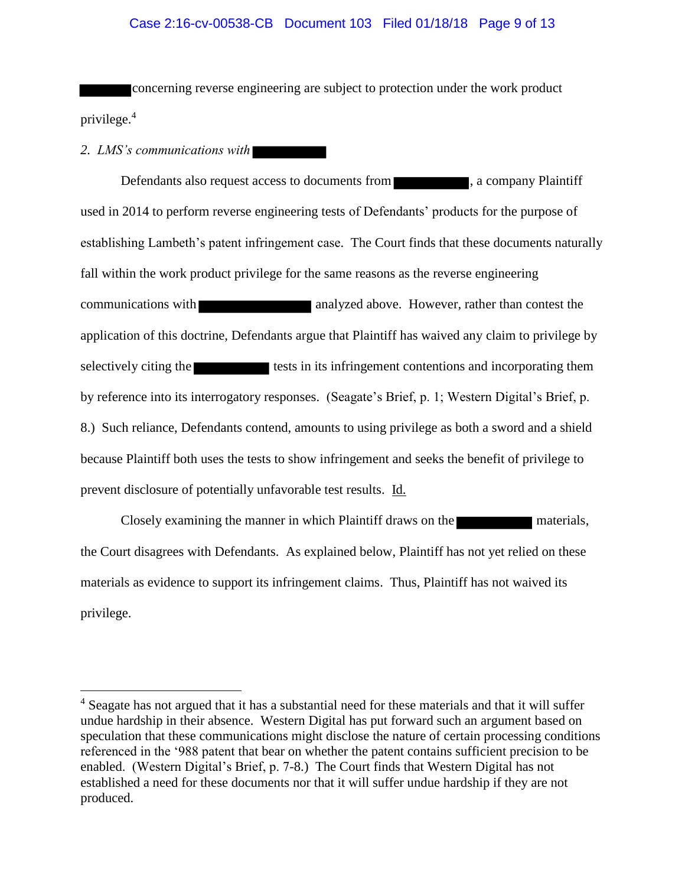# Case 2:16-cv-00538-CB Document 103 Filed 01/18/18 Page 9 of 13

concerning reverse engineering are subject to protection under the work product privilege.<sup>4</sup>

*2. LMS's communications with*

Defendants also request access to documents from , a company Plaintiff used in 2014 to perform reverse engineering tests of Defendants' products for the purpose of establishing Lambeth's patent infringement case. The Court finds that these documents naturally fall within the work product privilege for the same reasons as the reverse engineering communications with analyzed above. However, rather than contest the application of this doctrine, Defendants argue that Plaintiff has waived any claim to privilege by selectively citing the tests in its infringement contentions and incorporating them by reference into its interrogatory responses. (Seagate's Brief, p. 1; Western Digital's Brief, p. 8.) Such reliance, Defendants contend, amounts to using privilege as both a sword and a shield because Plaintiff both uses the tests to show infringement and seeks the benefit of privilege to prevent disclosure of potentially unfavorable test results. Id.

Closely examining the manner in which Plaintiff draws on the materials, the Court disagrees with Defendants. As explained below, Plaintiff has not yet relied on these materials as evidence to support its infringement claims. Thus, Plaintiff has not waived its privilege.

<sup>&</sup>lt;sup>4</sup> Seagate has not argued that it has a substantial need for these materials and that it will suffer undue hardship in their absence. Western Digital has put forward such an argument based on speculation that these communications might disclose the nature of certain processing conditions referenced in the '988 patent that bear on whether the patent contains sufficient precision to be enabled. (Western Digital's Brief, p. 7-8.) The Court finds that Western Digital has not established a need for these documents nor that it will suffer undue hardship if they are not produced.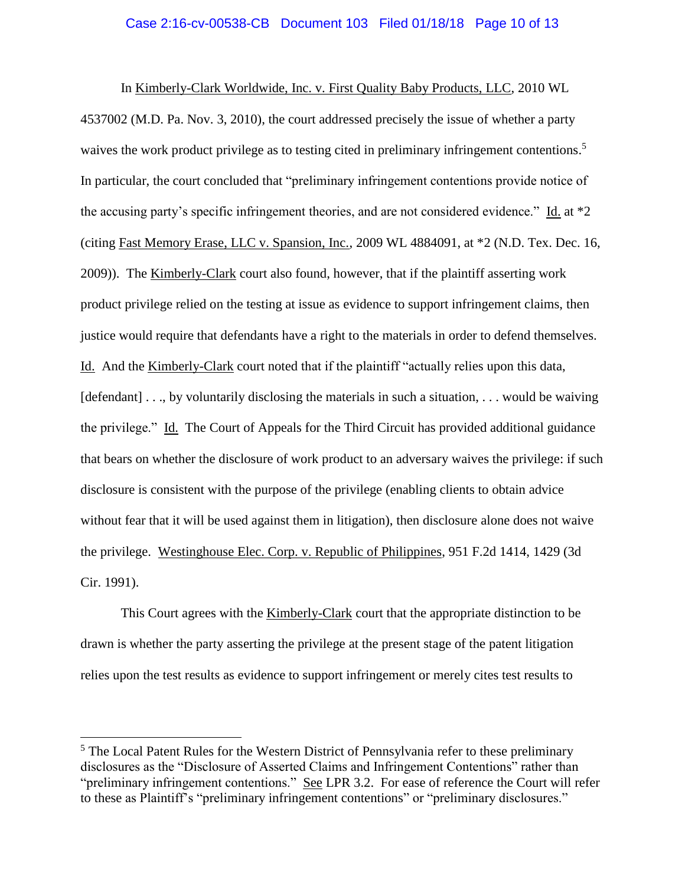### Case 2:16-cv-00538-CB Document 103 Filed 01/18/18 Page 10 of 13

In Kimberly-Clark Worldwide, Inc. v. First Quality Baby Products, LLC, 2010 WL 4537002 (M.D. Pa. Nov. 3, 2010), the court addressed precisely the issue of whether a party waives the work product privilege as to testing cited in preliminary infringement contentions.<sup>5</sup> In particular, the court concluded that "preliminary infringement contentions provide notice of the accusing party's specific infringement theories, and are not considered evidence." Id. at \*2 (citing Fast Memory Erase, LLC v. Spansion, Inc., 2009 WL 4884091, at \*2 (N.D. Tex. Dec. 16, 2009)). The Kimberly-Clark court also found, however, that if the plaintiff asserting work product privilege relied on the testing at issue as evidence to support infringement claims, then justice would require that defendants have a right to the materials in order to defend themselves. Id. And the Kimberly-Clark court noted that if the plaintiff "actually relies upon this data, [defendant] . . ., by voluntarily disclosing the materials in such a situation, . . . would be waiving the privilege." Id. The Court of Appeals for the Third Circuit has provided additional guidance that bears on whether the disclosure of work product to an adversary waives the privilege: if such disclosure is consistent with the purpose of the privilege (enabling clients to obtain advice without fear that it will be used against them in litigation), then disclosure alone does not waive the privilege. Westinghouse Elec. Corp. v. Republic of Philippines, 951 F.2d 1414, 1429 (3d Cir. 1991).

This Court agrees with the Kimberly-Clark court that the appropriate distinction to be drawn is whether the party asserting the privilege at the present stage of the patent litigation relies upon the test results as evidence to support infringement or merely cites test results to

<sup>&</sup>lt;sup>5</sup> The Local Patent Rules for the Western District of Pennsylvania refer to these preliminary disclosures as the "Disclosure of Asserted Claims and Infringement Contentions" rather than "preliminary infringement contentions." See LPR 3.2. For ease of reference the Court will refer to these as Plaintiff's "preliminary infringement contentions" or "preliminary disclosures."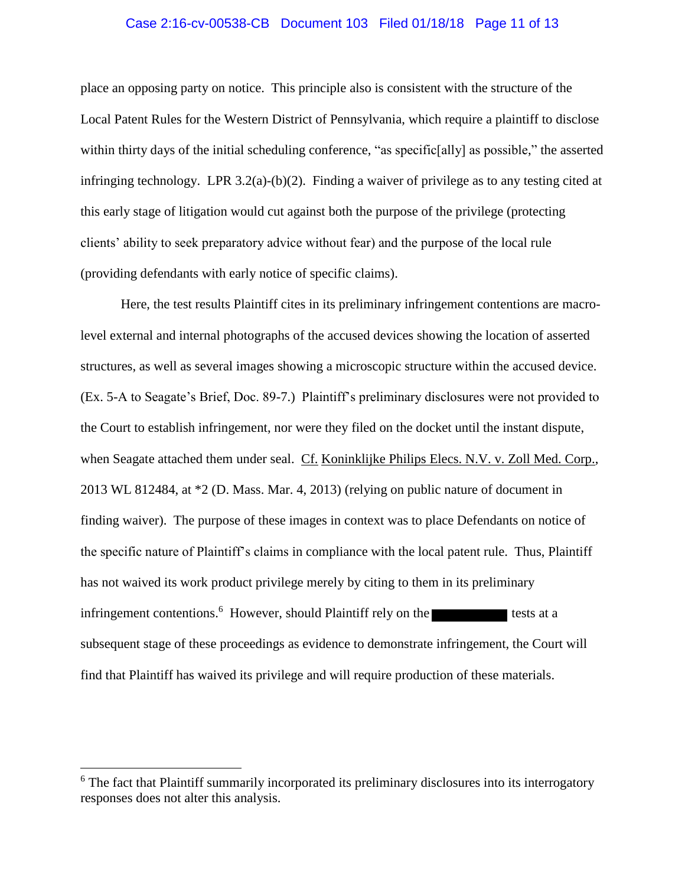### Case 2:16-cv-00538-CB Document 103 Filed 01/18/18 Page 11 of 13

place an opposing party on notice. This principle also is consistent with the structure of the Local Patent Rules for the Western District of Pennsylvania, which require a plaintiff to disclose within thirty days of the initial scheduling conference, "as specific[ally] as possible," the asserted infringing technology. LPR 3.2(a)-(b)(2). Finding a waiver of privilege as to any testing cited at this early stage of litigation would cut against both the purpose of the privilege (protecting clients' ability to seek preparatory advice without fear) and the purpose of the local rule (providing defendants with early notice of specific claims).

Here, the test results Plaintiff cites in its preliminary infringement contentions are macrolevel external and internal photographs of the accused devices showing the location of asserted structures, as well as several images showing a microscopic structure within the accused device. (Ex. 5-A to Seagate's Brief, Doc. 89-7.) Plaintiff's preliminary disclosures were not provided to the Court to establish infringement, nor were they filed on the docket until the instant dispute, when Seagate attached them under seal. Cf. Koninklijke Philips Elecs. N.V. v. Zoll Med. Corp., 2013 WL 812484, at \*2 (D. Mass. Mar. 4, 2013) (relying on public nature of document in finding waiver). The purpose of these images in context was to place Defendants on notice of the specific nature of Plaintiff's claims in compliance with the local patent rule. Thus, Plaintiff has not waived its work product privilege merely by citing to them in its preliminary infringement contentions.<sup>6</sup> However, should Plaintiff rely on the tests at a subsequent stage of these proceedings as evidence to demonstrate infringement, the Court will find that Plaintiff has waived its privilege and will require production of these materials.

<sup>&</sup>lt;sup>6</sup> The fact that Plaintiff summarily incorporated its preliminary disclosures into its interrogatory responses does not alter this analysis.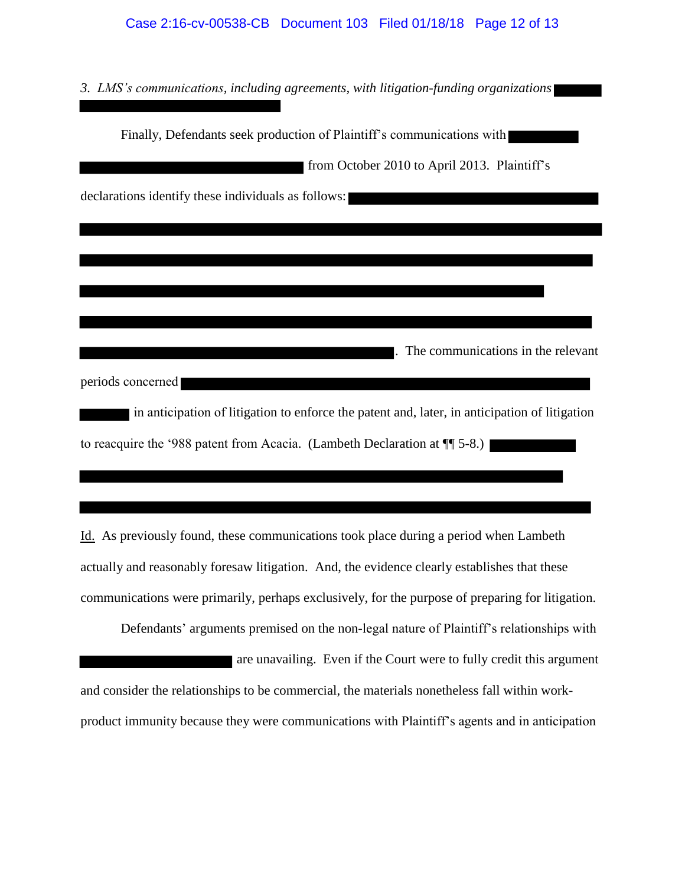*3. LMS's communications, including agreements, with litigation-funding organizations*

Finally, Defendants seek production of Plaintiff's communications with from October 2010 to April 2013. Plaintiff's declarations identify these individuals as follows: . The communications in the relevant periods concerned in anticipation of litigation to enforce the patent and, later, in anticipation of litigation to reacquire the '988 patent from Acacia. (Lambeth Declaration at ¶¶ 5-8.)

Id. As previously found, these communications took place during a period when Lambeth actually and reasonably foresaw litigation. And, the evidence clearly establishes that these communications were primarily, perhaps exclusively, for the purpose of preparing for litigation.

Defendants' arguments premised on the non-legal nature of Plaintiff's relationships with are unavailing. Even if the Court were to fully credit this argument and consider the relationships to be commercial, the materials nonetheless fall within workproduct immunity because they were communications with Plaintiff's agents and in anticipation